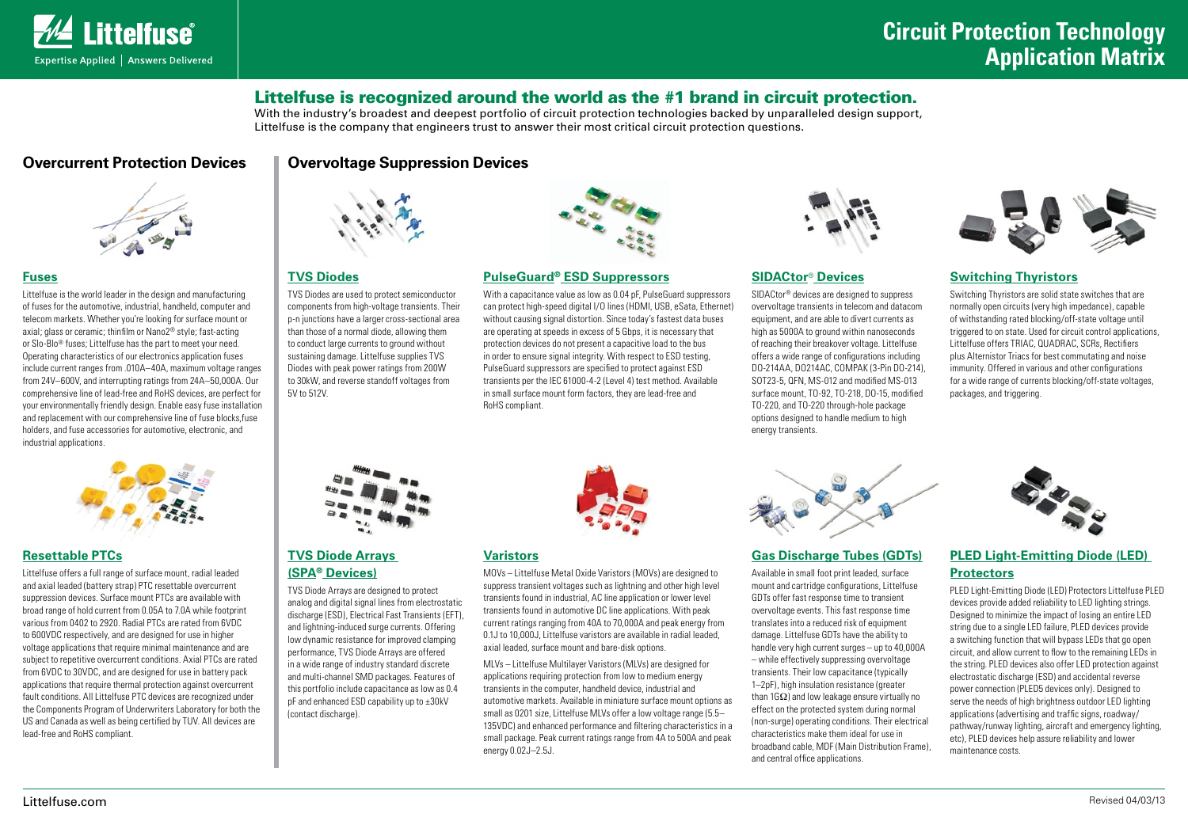

# Littelfuse is recognized around the world as the #1 brand in circuit protection.

With the industry's broadest and deepest portfolio of circuit protection technologies backed by unparalleled design support, Littelfuse is the company that engineers trust to answer their most critical circuit protection questions.

# **Overcurrent Protection Devices | Overvoltage Suppression Devices**



# **[Fuses](http://www.littelfuse.com/fuse)**

Littelfuse is the world leader in the design and manufacturing of fuses for the automotive, industrial, handheld, computer and telecom markets. Whether you're looking for surface mount or axial; glass or ceramic; thinfilm or Nano2® style; fast-acting or Slo-Blo® fuses; Littelfuse has the part to meet your need. Operating characteristics of our electronics application fuses include current ranges from .010A–40A, maximum voltage ranges from 24V–600V, and interrupting ratings from 24A–50,000A. Our comprehensive line of lead-free and RoHS devices, are perfect for your environmentally friendly design. Enable easy fuse installation and replacement with our comprehensive line of fuse blocks fuse holders, and fuse accessories for automotive, electronic, and industrial applications.



## **[Resettable PTCs](http://www.littelfuse.com/ptc)**

Littelfuse offers a full range of surface mount, radial leaded and axial leaded (battery strap) PTC resettable overcurrent suppression devices. Surface mount PTCs are available with broad range of hold current from 0.05A to 7.0A while footprint various from 0402 to 2920. Radial PTCs are rated from 6VDC to 600VDC respectively, and are designed for use in higher voltage applications that require minimal maintenance and are subject to repetitive overcurrent conditions. Axial PTCs are rated from 6VDC to 30VDC, and are designed for use in battery pack applications that require thermal protection against overcurrent fault conditions. All Littelfuse PTC devices are recognized under the Components Program of Underwriters Laboratory for both the US and Canada as well as being certified by TUV. All devices are lead-free and RoHS compliant.



## **[TVS Diodes](http://www.littelfuse.com/products/tvs-diodes)**

TVS Diodes are used to protect semiconductor components from high-voltage transients. Their p-n junctions have a larger cross-sectional area than those of a normal diode, allowing them to conduct large currents to ground without sustaining damage. Littelfuse supplies TVS Diodes with peak power ratings from 200W to 30kW, and reverse standoff voltages from 5V to 512V.



# **[TVS Diode Arrays](http://www.littelfuse.com/products/tvs-diode-arrays)  [\(SPA® Devices\)](http://www.littelfuse.com/products/tvs-diode-arrays)**

TVS Diode Arrays are designed to protect analog and digital signal lines from electrostatic discharge (ESD), Electrical Fast Transients (EFT), and lightning-induced surge currents. Offering low dynamic resistance for improved clamping performance, TVS Diode Arrays are offered in a wide range of industry standard discrete and multi-channel SMD packages. Features of this portfolio include capacitance as low as 0.4 pF and enhanced ESD capability up to ±30kV (contact discharge).



#### **[PulseGuard® ESD Suppressors](http://www.littelfuse.com/esd)**

With a capacitance value as low as 0.04 pF. PulseGuard suppressors can protect high-speed digital I/O lines (HDMI, USB, eSata, Ethernet) without causing signal distortion. Since today's fastest data buses are operating at speeds in excess of 5 Gbps, it is necessary that protection devices do not present a capacitive load to the bus in order to ensure signal integrity. With respect to ESD testing, PulseGuard suppressors are specified to protect against ESD transients per the IEC 61000-4-2 (Level 4) test method. Available in small surface mount form factors, they are lead-free and RoHS compliant.



#### **[Varistors](http://www.littelfuse.com/varistor)**

MOVs – Littelfuse Metal Oxide Varistors (MOVs) are designed to suppress transient voltages such as lightning and other high level transients found in industrial, AC line application or lower level transients found in automotive DC line applications. With peak current ratings ranging from 40A to 70,000A and peak energy from 0.1J to 10,000J, Littelfuse varistors are available in radial leaded, axial leaded, surface mount and bare-disk options.

MLVs – Littelfuse Multilayer Varistors (MLVs) are designed for applications requiring protection from low to medium energy transients in the computer, handheld device, industrial and automotive markets. Available in miniature surface mount options as small as 0201 size, Littelfuse MLVs offer a low voltage range (5.5– 135VDC) and enhanced performance and filtering characteristics in a small package. Peak current ratings range from 4A to 500A and peak energy 0.02J–2.5J.



### **[SIDACtor](http://www.littelfuse.com/products/sidactor-protection-thyristors)**® **Devices**

SIDACtor® devices are designed to suppress overvoltage transients in telecom and datacom equipment, and are able to divert currents as high as 5000A to ground within nanoseconds of reaching their breakover voltage. Littelfuse offers a wide range of configurations including DO-214AA, DO214AC, COMPAK (3-Pin DO-214), SOT23-5, OFN, MS-012 and modified MS-013 surface mount, TO-92, TO-218, DO-15, modified TO-220, and TO-220 through-hole package options designed to handle medium to high energy transients.



## **[Switching Thyristors](http://www.littelfuse.com/products/switching-thyristors.aspx)**

Switching Thyristors are solid state switches that are normally open circuits (very high impedance), capable of withstanding rated blocking/off-state voltage until triggered to on state. Used for circuit control applications, Littelfuse offers TRIAC, QUADRAC, SCRs, Rectifiers plus Alternistor Triacs for best commutating and noise immunity. Offered in various and other configurations for a wide range of currents blocking/off-state voltages packages, and triggering.



### **[Gas Discharge Tubes \(GDTs\)](http://www.littelfuse.com/gdt)**

Available in small foot print leaded, surface mount and cartridge configurations, Littelfuse GDTs offer fast response time to transient overvoltage events. This fast response time translates into a reduced risk of equipment damage. Littelfuse GDTs have the ability to handle very high current surges – up to 40,000A – while effectively suppressing overvoltage transients. Their low capacitance (typically 1–2pF), high insulation resistance (greater than  $1GO$ ) and low leakage ensure virtually no effect on the protected system during normal (non-surge) operating conditions. Their electrical characteristics make them ideal for use in broadband cable, MDF (Main Distribution Frame), and central office applications.



# **[PLED Light-Emitting Diode \(LED\)](http://www.littelfuse.com/products/led-protectors.aspx)  [Protectors](http://www.littelfuse.com/products/led-protectors.aspx)**

PLED Light-Emitting Diode (LED) Protectors Littelfuse PLED devices provide added reliability to LED lighting strings. Designed to minimize the impact of losing an entire LED string due to a single LED failure, PLED devices provide a switching function that will bypass LEDs that go open circuit, and allow current to flow to the remaining LEDs in the string. PLED devices also offer LED protection against electrostatic discharge (ESD) and accidental reverse power connection (PLED5 devices only). Designed to serve the needs of high brightness outdoor LED lighting applications (advertising and traffic signs, roadway/ pathway/runway lighting, aircraft and emergency lighting, etc), PLED devices help assure reliability and lower maintenance costs.

Littelfuse.com Revised 04/03/13